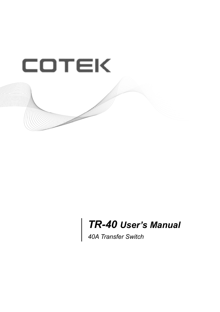

# *TR-40 User's Manual*

*40A Transfer Switch*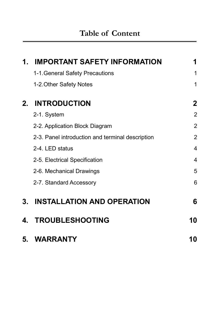| 1.          | <b>IMPORTANT SAFETY INFORMATION</b>              | 1              |
|-------------|--------------------------------------------------|----------------|
|             | 1-1. General Safety Precautions                  | 1              |
|             | 1-2. Other Safety Notes                          | 1              |
| $2_{\cdot}$ | <b>INTRODUCTION</b>                              | 2              |
|             | 2-1. System                                      | $\overline{2}$ |
|             | 2-2. Application Block Diagram                   | $\overline{2}$ |
|             | 2-3. Panel introduction and terminal description | $\overline{2}$ |
|             | 2-4. LED status                                  | $\overline{4}$ |
|             | 2-5. Electrical Specification                    | 4              |
|             | 2-6. Mechanical Drawings                         | 5              |
|             | 2-7. Standard Accessory                          | 6              |
|             | 3. INSTALLATION AND OPERATION                    | 6              |
| 4.          | <b>TROUBLESHOOTING</b>                           | 10             |
| 5.          | WARRANTY                                         | 10             |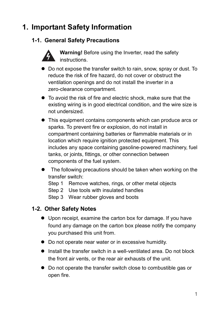# **1. Important Safety Information**

### **1-1. General Safety Precautions**



**Warning!** Before using the Inverter, read the safety instructions.

- Do not expose the transfer switch to rain, snow, spray or dust. To reduce the risk of fire hazard, do not cover or obstruct the ventilation openings and do not install the inverter in a zero-clearance compartment.
- $\bullet$  To avoid the risk of fire and electric shock, make sure that the existing wiring is in good electrical condition, and the wire size is not undersized.
- This equipment contains components which can produce arcs or sparks. To prevent fire or explosion, do not install in compartment containing batteries or flammable materials or in location which require ignition protected equipment. This includes any space containing gasoline-powered machinery, fuel tanks, or joints, fittings, or other connection between components of the fuel system.
- $\bullet$  The following precautions should be taken when working on the transfer switch:
	- Step 1 Remove watches, rings, or other metal objects
	- Step 2 Use tools with insulated handles
	- Step 3 Wear rubber gloves and boots

#### **1-2. Other Safety Notes**

- Upon receipt, examine the carton box for damage. If you have found any damage on the carton box please notify the company you purchased this unit from.
- Do not operate near water or in excessive humidity.
- $\bullet$  Install the transfer switch in a well-ventilated area. Do not block the front air vents, or the rear air exhausts of the unit.
- Do not operate the transfer switch close to combustible gas or open fire.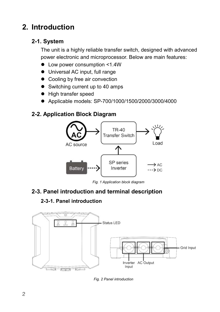# **2. Introduction**

#### **2-1. System**

The unit is a highly reliable transfer switch, designed with advanced power electronic and microprocessor. Below are main features:

- Low power consumption <1.4W
- $\bullet$  Universal AC input, full range
- Cooling by free air convection
- $\bullet$  Switching current up to 40 amps
- High transfer speed
- Applicable models: SP-700/1000/1500/2000/3000/4000

#### **2-2. Application Block Diagram**



*Fig. 1 Application block diagram*

### **2-3. Panel introduction and terminal description**

#### **2-3-1. Panel introduction**



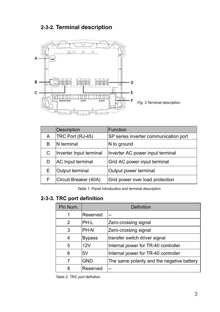#### **2-3-2. Terminal description**



|   | Description             | Function                              |
|---|-------------------------|---------------------------------------|
| A | TRC Port (RJ-45)        | SP series inverter communication port |
| в | IN terminal             | N to ground                           |
| С | Inverter Input terminal | Inverter AC power input terminal      |
|   | AC Input terminal       | Grid AC power input terminal          |
| F | Output terminal         | Output power terminal                 |
|   | Circuit Breaker (40A)   | Grid power over load protection       |

*Table 1. Panel introduction and terminal description*

#### **2-3-3. TRC port definition**

| Pin Num. | Definition                                 |                                            |  |
|----------|--------------------------------------------|--------------------------------------------|--|
|          | Reserved                                   | --                                         |  |
| 2        | PH-L                                       | Zero-crossing signal                       |  |
| 3        | Zero-crossing signal<br>PH-N               |                                            |  |
|          | <b>Bypass</b>                              | transfer switch driver signal              |  |
| 5        | 12V<br>Internal power for TR-40 controller |                                            |  |
| 6        | 5V                                         | Internal power for TR-40 controller        |  |
|          | GND                                        | The same polarity and the negative battery |  |
| 8        | Reserved                                   | --                                         |  |

*Table 2. TRC port definition*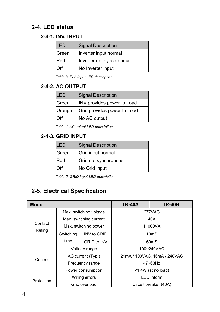#### **2-4. LED status**

#### **2-4-1. INV. INPUT**

| II FD         | Signal Description       |  |  |
|---------------|--------------------------|--|--|
| <b>IGreen</b> | Inverter input normal    |  |  |
| Red           | Inverter not synchronous |  |  |
| I∩ff          | No Inverter input        |  |  |

*Table 3. INV. input LED description*

#### **2-4-2. AC OUTPUT**

| <b>LED</b> | Signal Description          |  |
|------------|-----------------------------|--|
| Green      | INV provides power to Load  |  |
| Orange     | Grid provides power to Load |  |
| <b>Off</b> | No AC output                |  |

*Table 4. AC output LED description*

#### **2-4-3. GRID INPUT**

| FD.        | Signal Description   |  |
|------------|----------------------|--|
| Green      | Grid input normal    |  |
| <b>Red</b> | Grid not synchronous |  |
|            | No Grid input        |  |

*Table 5. GRID input LED description*

### **2-5. Electrical Specification**

| <b>Model</b> |                        |                    | <b>TR-40A</b>                | <b>TR-40B</b> |
|--------------|------------------------|--------------------|------------------------------|---------------|
|              | Max. switching voltage |                    | 277VAC                       |               |
|              | Max. switching current |                    | 40A                          |               |
| Contact      | Max. switching power   |                    | 11000VA                      |               |
| Rating       | Switching              | INV to GRID        | 10 <sub>m</sub> S            |               |
|              | time                   | <b>GRID to INV</b> | 60 <sub>ms</sub>             |               |
|              | Voltage range          |                    |                              | 100~240VAC    |
|              | AC current (Typ.)      |                    | 21mA / 100VAC, 16mA / 240VAC |               |
| Control      | Frequency range        |                    | $47 - 63$ Hz                 |               |
|              |                        | Power consumption  | <1.4W (at no load)           |               |
|              | Wiring errors          |                    | <b>LED</b> inform            |               |
| Protection   | Grid overload          |                    | Circuit breaker (40A)        |               |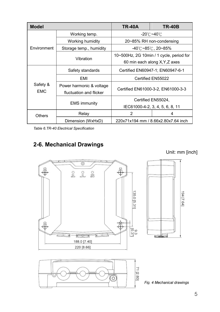| <b>Model</b>           |                                                     | <b>TR-40A</b>                       | <b>TR-40B</b>                            |  |
|------------------------|-----------------------------------------------------|-------------------------------------|------------------------------------------|--|
|                        | Working temp.                                       | -20℃~40℃                            |                                          |  |
|                        | Working humidity                                    | 20~85% RH non-condensing            |                                          |  |
| Environment            | Storage temp., humidity                             | -40℃~85℃, 20~85%                    |                                          |  |
|                        |                                                     |                                     | 10~500Hz, 2G 10min / 1 cycle, period for |  |
|                        | Vibration                                           | 60 min each along X, Y, Z axes      |                                          |  |
|                        | Safety standards                                    | Certified EN60947-1; EN60947-6-1    |                                          |  |
|                        | <b>EMI</b>                                          | Certified EN55022                   |                                          |  |
| Safety &<br><b>FMC</b> | Power harmonic & voltage<br>fluctuation and flicker | Certified EN61000-3-2, EN61000-3-3  |                                          |  |
|                        |                                                     |                                     | Certified EN55024.                       |  |
|                        | <b>EMS</b> immunity                                 | IEC61000-4-2, 3, 4, 5, 6, 8, 11     |                                          |  |
| <b>Others</b>          | Relay                                               | 2                                   | 4                                        |  |
|                        | Dimension (WxHxD)                                   | 220x71x194 mm / 8.66x2.80x7.64 inch |                                          |  |

*Table 6.TR-40 Electrical Specification*

## **2-6. Mechanical Drawings**

Unit: mm [inch]

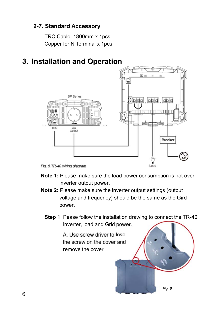#### **2-7. Standard Accessory**

TRC Cable, 1800mm x 1pcs Copper for N Terminal x 1pcs

# **3. Installation and Operation**



- **Note 1:** Please make sure the load power consumption is not over inverter output power.
- **Note 2:** Please make sure the inverter output settings (output voltage and frequency) should be the same as the Gird power.
	- **Step 1** Pease follow the installation drawing to connect the TR-40, inverter, load and Grid

A. Use screw driver to lose the screw on the cover and remove the cover

*Fig. 6*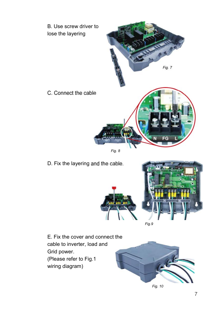



D. Fix the layering and the cable.



*Fig. 10*

E. Fix the cover and connect the cable to inverter, load and Grid power. (Please refer to Fig.1 wiring diagram)

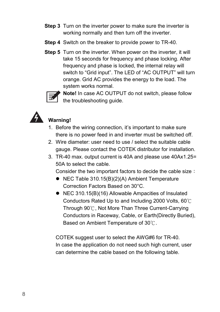- **Step 3** Turn on the inverter power to make sure the inverter is working normally and then turn off the inverter.
- **Step 4** Switch on the breaker to provide power to TR-40.
- **Step 5** Turn on the inverter. When power on the inverter, it will take 15 seconds for frequency and phase locking. After frequency and phase is locked, the internal relay will switch to "Grid input". The LED of "AC OUTPUT" will turn orange. Grid AC provides the energy to the load. The system works normal.



**Note!** In case AC OUTPUT do not switch, please follow the troubleshooting guide.



## **Warning!**

- 1. Before the wiring connection, it's important to make sure there is no power feed in and inverter must be switched off.
- 2. Wire diameter: user need to use / select the suitable cable gauge. Please contact the COTEK distributor for installation.
- 3. TR-40 max. output current is 40A and please use 40Ax1.25= 50A to select the cable.

Consider the two important factors to decide the cable size

- $\bullet$  NEC Table 310.15(B)(2)(A) Ambient Temperature Correction Factors Based on 30°C.
- NEC 310.15(B)(16) Allowable Ampacities of Insulated Conductors Rated Up to and Including 2000 Volts, 60 $\degree$ C Through 90°C. Not More Than Three Current-Carrying Conductors in Raceway, Cable, or Earth(Directly Buried), Based on Ambient Temperature of 30°C.

COTEK suggest user to select the AWG#6 for TR-40. In case the application do not need such high current, user can determine the cable based on the following table.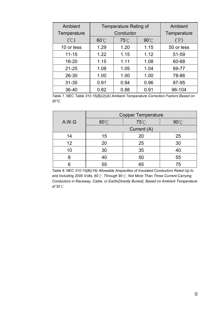| Ambient<br>Temperature | Temperature Rating of<br>Conductor |      |                | Ambient<br>Temperature |
|------------------------|------------------------------------|------|----------------|------------------------|
|                        |                                    |      |                |                        |
| (C)                    | $60^{\circ}$ C                     | 75℃  | $90^{\circ}$ C | $\rm (^\circ F)$       |
| 10 or less             | 1.29                               | 1.20 | 1.15           | 50 or less             |
| $11 - 15$              | 1.22                               | 1.15 | 1.12           | 51-59                  |
| 16-20                  | 1.15                               | 1.11 | 1.08           | 60-68                  |
| $21 - 25$              | 1.08                               | 1.05 | 1.04           | 69-77                  |
| 26-30                  | 1.00                               | 1.00 | 1.00           | 78-86                  |
| $31 - 35$              | 0.91                               | 0.94 | 0.96           | 87-95                  |
| 36-40                  | 0.82                               | 0.88 | 0.91           | 96-104                 |

*Table 7. NEC Table 310.15(B)(2)(A) Ambient Temperature Correction Factors Based on 30°C.*

|       | <b>Copper Temperature</b> |      |      |  |
|-------|---------------------------|------|------|--|
| A.W.G | 60°C                      | 75°C | 90°C |  |
|       | Current (A)               |      |      |  |
| 14    | 15                        | 20   | 25   |  |
| 12    | 20                        | 25   | 30   |  |
| 10    | 30                        | 35   | 40   |  |
| 8     | 40                        | 50   | 55   |  |
| հ     | 55                        | 65   | 75   |  |

*Table 8. NEC 310.15(B)(16) Allowable Ampacities of Insulated Conductors Rated Up to and Including 2000 Volts, 60 Through 90 , Not More Than Three Current-Carrying Conductors in Raceway, Cable, or Earth(Directly Buried), Based on Ambient Temperature of 30 .*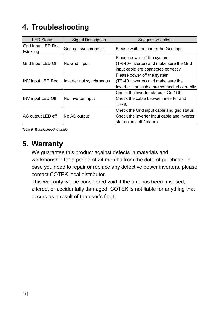# **4. Troubleshooting**

| <b>LED Status</b>               | <b>Signal Description</b> | Suggestion actions                                                                                                     |
|---------------------------------|---------------------------|------------------------------------------------------------------------------------------------------------------------|
| Grid Input LED Red<br>twinkling | Grid not synchronous      | Please wait and check the Grid input                                                                                   |
| Grid Input LED Off              | No Grid input             | Please power off the system<br>(TR-40+Inverter) and make sure the Grid<br>input cable are connected correctly          |
| INV input LED Red               | Inverter not synchronous  | Please power off the system<br>(TR-40+Inverter) and make sure the<br>Inverter Input cable are connected correctly      |
| INV input LED Off               | No Inverter input         | Check the inverter status – On / Off<br>Check the cable between inverter and<br>TR-40                                  |
| AC output LED off               | No AC output              | Check the Grid input cable and grid status<br>Check the inverter input cable and inverter<br>status (on / off / alarm) |

*Table 9. Troubleshooting guide*

# **5. Warranty**

We guarantee this product against defects in materials and workmanship for a period of 24 months from the date of purchase. In case you need to repair or replace any defective power inverters, please contact COTEK local distributor.

This warranty will be considered void if the unit has been misused, altered, or accidentally damaged. COTEK is not liable for anything that occurs as a result of the user's fault.